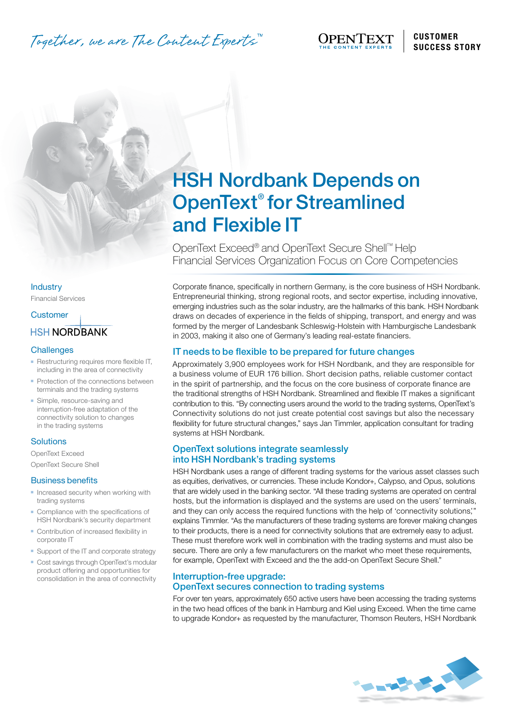Together, we are The Content Experts."

# HSH Nordbank Depends on OpenText® for Streamlined and Flexible IT

OpenText Exceed® and OpenText Secure Shell™ Help Financial Services Organization Focus on Core Competencies

Corporate finance, specifically in northern Germany, is the core business of HSH Nordbank. Entrepreneurial thinking, strong regional roots, and sector expertise, including innovative, emerging industries such as the solar industry, are the hallmarks of this bank. HSH Nordbank draws on decades of experience in the fields of shipping, transport, and energy and was formed by the merger of Landesbank Schleswig-Holstein with Hamburgische Landesbank in 2003, making it also one of Germany's leading real-estate financiers.

# IT needs to be flexible to be prepared for future changes

Approximately 3,900 employees work for HSH Nordbank, and they are responsible for a business volume of EUR 176 billion. Short decision paths, reliable customer contact in the spirit of partnership, and the focus on the core business of corporate finance are the traditional strengths of HSH Nordbank. Streamlined and flexible IT makes a significant contribution to this. "By connecting users around the world to the trading systems, OpenText's Connectivity solutions do not just create potential cost savings but also the necessary flexibility for future structural changes," says Jan Timmler, application consultant for trading systems at HSH Nordbank.

## OpenText solutions integrate seamlessly into HSH Nordbank's trading systems

HSH Nordbank uses a range of different trading systems for the various asset classes such as equities, derivatives, or currencies. These include Kondor+, Calypso, and Opus, solutions that are widely used in the banking sector. "All these trading systems are operated on central hosts, but the information is displayed and the systems are used on the users' terminals, and they can only access the required functions with the help of 'connectivity solutions,'" explains Timmler. "As the manufacturers of these trading systems are forever making changes to their products, there is a need for connectivity solutions that are extremely easy to adjust. These must therefore work well in combination with the trading systems and must also be secure. There are only a few manufacturers on the market who meet these requirements, for example, OpenText with Exceed and the the add-on OpenText Secure Shell."

# Interruption-free upgrade: OpenText secures connection to trading systems

For over ten years, approximately 650 active users have been accessing the trading systems in the two head offices of the bank in Hamburg and Kiel using Exceed. When the time came to upgrade Kondor+ as requested by the manufacturer, Thomson Reuters, HSH Nordbank



#### **Industry**

Financial Services

#### **Customer**

# **HSH NORD BANK**

#### **Challenges**

- **Restructuring requires more flexible IT,** including in the area of connectivity
- Protection of the connections between terminals and the trading systems
- Simple, resource-saving and interruption-free adaptation of the connectivity solution to changes in the trading systems

## **Solutions**

OpenText Exceed OpenText Secure Shell

#### Business benefits

- $\blacksquare$  Increased security when working with trading systems
- **Compliance with the specifications of** HSH Nordbank's security department
- **-** Contribution of increased flexibility in corporate IT
- $\blacksquare$  Support of the IT and corporate strategy
- **-** Cost savings through OpenText's modular product offering and opportunities for consolidation in the area of connectivity